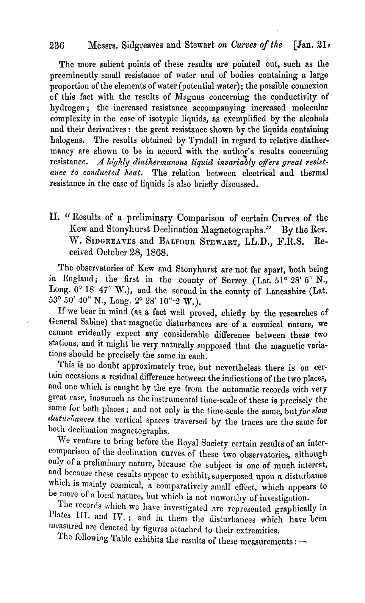## 236 Messrs. Sidgreaves and Stewart *on Curves of the* [Jan. 21,

The more salient points of these results are pointed out, such as the preeminently small resistance of water and of bodies containing a large proportion of the elements of water (potential water); the possible connexion of this fact with the results of Magnus concerning the conductivity of hydrogen; the increased resistance accompanying· increased molecular complexity in the case of isotypic liquids, as exemplified by the alcohols and their derivatives: the great resistance shown by the liquids containing halogens. The results obtained by Tyndall in regard to relative diathermancy are shown to be in accord with the author's results concerning resistance. *A highly diathermanous liquid invariably offers great resistance to conducted heat.* The relation between electrical and thermal resistance in the case of liquids is also briefly discussed.

II. "Results of a preliminary Comparison of certain Curves of the Kew and Stonyhurst Declination Magnetographs." By the Rev. W. SIDGREAVES and BALFOUR STEWART, LL.D., F.R.S. Received October 28, 1868.

The observatories of Kew and Stonyhurst are not far apart, both being in England; the first in the county of Surrey (Lat. 51° 2S' 6" N., Long.  $0^{\circ}$  18' 47" W.), and the second in the county of Lancashire (Lat. 53° 50' 40" N., Long. 2° 28' 10"'2 W.).

If we bear in mind (as a fact well proved, chiefly by the researches of General Sabine) that magnetic disturbances are of a cosmical nature, we cannot evidently expect any considerable difference between these two stations, and it might be very naturally supposed that the magnetic variations should be precisely the same in each.

This is no doubt approximately true, but nevertheless there is on certain occasions a residual difference between the indications of the two places, and one which is caught by the eye from the automatic records with very great ease, inasmuch as the instrumental time-scale of these is precisely the same for both places; and not only is the time-scale the same, *butfor slow disturbances* the vertical spaces traversed by the traces are the same for both declination magnetographs.

We venture to bring before the Royal Society certain results of an intercomparison of the declination curves of these two observatories, although only of a preliminary nature, because the subject is one of much interest, and because these results appear to exhibit, superposed upon a disturbance which is mainly cosmical, a comparatively small effect, which appears to be more of a local nature, but which is not unworthy of investigation.

The records which we have investigated are represented graphically in Plates III. and IV.; and in them the disturbances which have been measured are denoted by figures attached to their extremities.

The following Table exhibits the results of these measurements: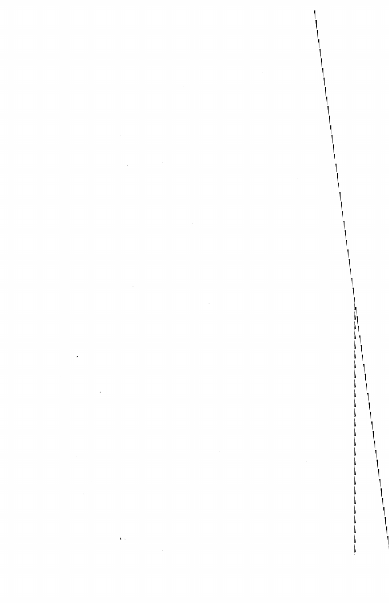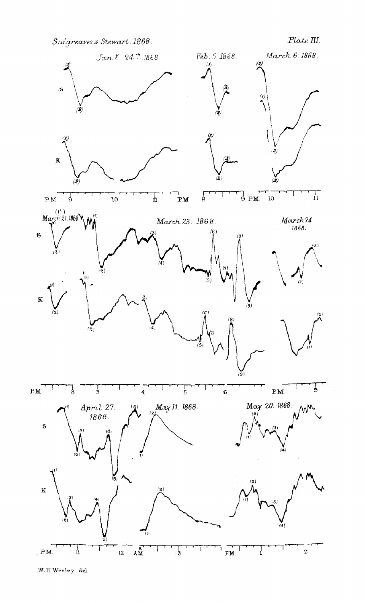Sidgreaves & Stewart. 1868.



W.H. Wesley del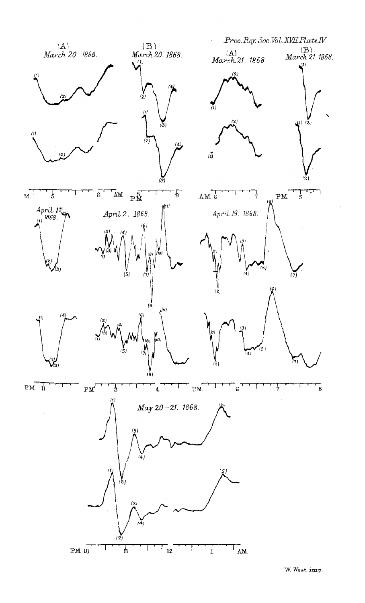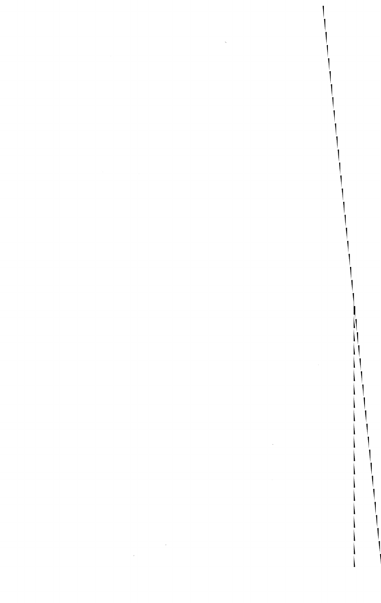$\label{eq:1} \mathcal{L} = \mathcal{L} \left( \mathcal{L} \right) \mathcal{L} \left( \mathcal{L} \right)$  $\label{eq:2} \begin{split} \frac{1}{\sqrt{2\pi}}\frac{1}{\sqrt{2\pi}}\frac{1}{\sqrt{2\pi}}\frac{1}{\sqrt{2\pi}}\frac{1}{\sqrt{2\pi}}\frac{1}{\sqrt{2\pi}}\frac{1}{\sqrt{2\pi}}\frac{1}{\sqrt{2\pi}}\frac{1}{\sqrt{2\pi}}\frac{1}{\sqrt{2\pi}}\frac{1}{\sqrt{2\pi}}\frac{1}{\sqrt{2\pi}}\frac{1}{\sqrt{2\pi}}\frac{1}{\sqrt{2\pi}}\frac{1}{\sqrt{2\pi}}\frac{1}{\sqrt{2\pi}}\frac{1}{\sqrt{2\pi}}\frac{1$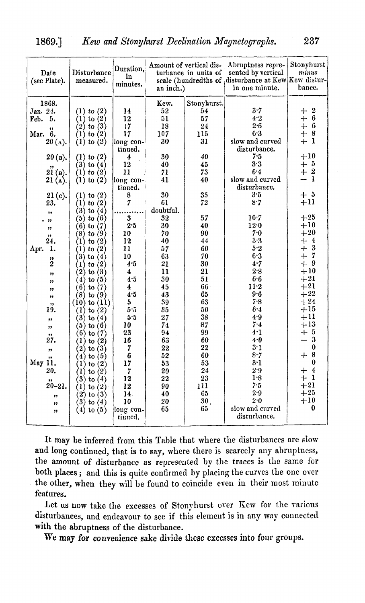| Date<br>(see Plate).                                                                                                                                                                                                                                                                          | Disturbance<br>measured.                                                                                                                                                                                                                                                                                                                                                                                                                                                                                                                                                                                                                                         | Duration.<br>in<br>minutes.                                                                                                                                                                                                              | an inch.)                                                                                                                                                                                                                      | Amount of vertical dis-<br>turbance in units of<br>scale (hundredths of                                                                                                                                                   | Abruptness repre-<br>sented by vertical<br>disturbance at Kew Kew distur-<br>in one minute.                                                                                                                                                                                                           | Stonyhurst<br>minus<br>bance.                                                                                                                                                                                                                                                                                                                                      |
|-----------------------------------------------------------------------------------------------------------------------------------------------------------------------------------------------------------------------------------------------------------------------------------------------|------------------------------------------------------------------------------------------------------------------------------------------------------------------------------------------------------------------------------------------------------------------------------------------------------------------------------------------------------------------------------------------------------------------------------------------------------------------------------------------------------------------------------------------------------------------------------------------------------------------------------------------------------------------|------------------------------------------------------------------------------------------------------------------------------------------------------------------------------------------------------------------------------------------|--------------------------------------------------------------------------------------------------------------------------------------------------------------------------------------------------------------------------------|---------------------------------------------------------------------------------------------------------------------------------------------------------------------------------------------------------------------------|-------------------------------------------------------------------------------------------------------------------------------------------------------------------------------------------------------------------------------------------------------------------------------------------------------|--------------------------------------------------------------------------------------------------------------------------------------------------------------------------------------------------------------------------------------------------------------------------------------------------------------------------------------------------------------------|
| 1868.<br>Jan. 24.<br>Feb. 5.<br>99<br>Mar. 6.<br>20(A).<br>$20(a)$ .<br>$2\overset{''}{2}(B).$<br>21(A).<br>21(c).<br>23.<br>,,<br>,,<br>,,<br>,,<br>24.<br>Apr.<br>ı.<br>,,<br>2<br>"<br>,,<br>,,<br>,,<br>,,<br>19.<br>,,<br>"<br>,,<br>27.<br>"<br>May 11.<br>20.<br>$\cdot$<br>$20 - 21.$ | $(1)$ to $(2)$<br>$(1)$ to $(2)$<br>$(2)$ to $(3)$<br>$(1)$ to $(2)$<br>to $(2)$<br>(1)<br>$(1)$ to $(2)$<br>$(3)$ to $(4)$<br>$(1)$ to $(2)$<br>$(1)$ to $(2)$<br>$(1)$ to $(2)$<br>$(1)$ to $(2)$<br>$(3)$ to $(4)$<br>(5) to (6)<br>to<br>(6)<br>(7)<br>(8)<br>to $(9)$<br>to<br>(2)<br>(1)<br>(1)<br>to<br>(2)<br>$(3)$ to $(4)$<br>(1)<br>to $(2)$<br>$\mathbf{2)}$<br>to $(3)$<br>to $(5)$<br>(4)<br>(6) to (7)<br>΄8) to (9)<br>$(10)$ to $(11)$<br>to $(2)$<br>(1)<br>$(3)$ to $(4)$<br>$(5)$ to $(6)$<br>6)<br>to $(7)$<br>(1)<br>to $(2)$<br>to $(3)$<br>$^{2)}$<br>$(4)$ to $(5)$<br>$(1)$ to $(2)$<br>$(1)$ to $(2)$<br>(3) to (4)<br>$(1)$ to $(2)$ | 14<br>12<br>17<br>17<br>long con-<br>tinued.<br>4<br>12<br>11<br>long con-<br>tinued.<br>8<br>7<br>3<br>2.5<br>10<br>12<br>11<br>10<br>4.5<br>4<br>4.5<br>4<br>4.5<br>5<br>5.5<br>5.5<br>10<br>23<br>16<br>7<br>6<br>17<br>7<br>12<br>12 | Kew.<br>52<br>51<br>18<br>107<br>30<br>30<br>40<br>71<br>41<br>30<br>61<br>doubtful.<br>32<br>30<br>70<br>40<br>57<br>63<br>21<br>11<br>30<br>45<br>43<br>39<br>35<br>27<br>74<br>94<br>63<br>22<br>52<br>53<br>20<br>22<br>90 | Stonyhurst.<br>54<br>57<br>24<br>115<br>31<br>40<br>45<br>73<br>40<br>35<br>72<br>57<br>40<br>90<br>44<br>60<br>70<br>30<br>21<br>51<br>66<br>65<br>63<br>50<br>38<br>87<br>99<br>60<br>22<br>60<br>53<br>24<br>23<br>111 | 3·7<br>4.2<br>2.6<br>6.3<br>slow and curved<br>disturbance.<br>7.5<br>3.3<br>6.4<br>slow and curved<br>disturbance.<br>3.5<br>8.7<br>10.7<br>12.0<br>7.0<br>3.3<br>5.2<br>6.3<br>4.7<br>2.8<br>6.6<br>11.2<br>9.6<br>7.8<br>6.4<br>4.9<br>7.4<br>4.1<br>4.0<br>3.1<br>8.7<br>3.1<br>2.9<br>1.8<br>7.5 | $\boldsymbol{2}$<br>┿<br>$6\phantom{1}6$<br>$+$<br>6<br>$+$<br>8<br>$+$<br>-1<br>$+$<br>$+10$<br>$+5$<br>$+2$<br>- 1<br>$+5$<br>$+11$<br>$+25$<br>$+10$<br>$+20$<br>$+4$<br>3<br>┿<br>-7<br>$\div$<br>-9<br>$+$<br>$+10$<br>$+21$<br>$+21$<br>$+22$<br>$+24$<br>$+15$<br>$+11$<br>$+13$<br>$+5$<br>3<br>-<br>$\bf{0}$<br>8<br>┿<br>0<br>4<br>$^+$<br>$+1$<br>$+21$ |
| ,,<br>,,<br>,,                                                                                                                                                                                                                                                                                | $(2)$ to $(3)$<br>(3) to (4)<br>to $(5)$<br>(4)                                                                                                                                                                                                                                                                                                                                                                                                                                                                                                                                                                                                                  | 14.<br>10<br>long con-<br>tinued.                                                                                                                                                                                                        | 40<br>20<br>65                                                                                                                                                                                                                 | 65<br>30.<br>65                                                                                                                                                                                                           | 2.9<br>2.0<br>slow and curved<br>disturbance.                                                                                                                                                                                                                                                         | $+25$<br>$+10$<br>0                                                                                                                                                                                                                                                                                                                                                |

It may be inferred from this Table that where the disturbances are slow and long continued, that is to say, where there is scarcely any abruptness, the amount of disturbance as represented by the traces is the same for both places; and this is quite confirmed by placing the curves the one over the other, when they will be found to coincide even in their most minute features.

Let us now take the excesses of Stonyhurst over Kew for the various disturbances, and endeavour to see if this element is in any way connected with the abruptness of the disturbance.

We may for convenience sake divide these excesses into four groups.